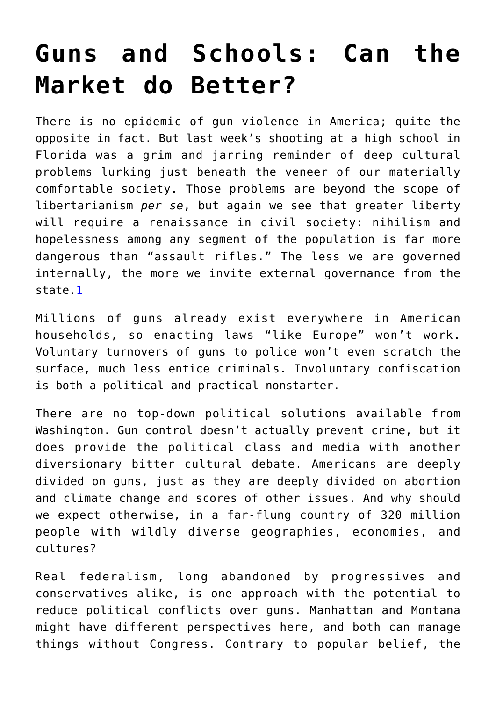## **[Guns and Schools: Can the](https://intellectualtakeout.org/2018/02/guns-and-schools-can-the-market-do-better/) [Market do Better?](https://intellectualtakeout.org/2018/02/guns-and-schools-can-the-market-do-better/)**

There is no epidemic of gun violence in America; quite the opposite in fact. But last week's shooting at a high school in Florida was a grim and jarring reminder of deep cultural problems lurking just beneath the veneer of our materially comfortable society. Those problems are beyond the scope of libertarianism *per se*, but again we see that greater liberty will require a renaissance in civil society: nihilism and hopelessness among any segment of the population is far more dangerous than "assault rifles." The less we are governed internally, the more we invite external governance from the state[.1](https://mises.org/wire/guns-and-schools-can-market-do-better#footnote1_wz3c83p)

Millions of guns already exist everywhere in American households, so enacting laws "like Europe" won't work. Voluntary turnovers of guns to police won't even scratch the surface, much less entice criminals. Involuntary confiscation is both a political and practical nonstarter.

There are no top-down political solutions available from Washington. Gun control doesn't actually prevent crime, but it does provide the political class and media with another diversionary bitter cultural debate. Americans are deeply divided on guns, just as they are deeply divided on abortion and climate change and scores of other issues. And why should we expect otherwise, in a far-flung country of 320 million people with wildly diverse geographies, economies, and cultures?

Real federalism, long abandoned by progressives and conservatives alike, is one approach with the potential to reduce political conflicts over guns. Manhattan and Montana might have different perspectives here, and both can manage things without Congress. Contrary to popular belief, the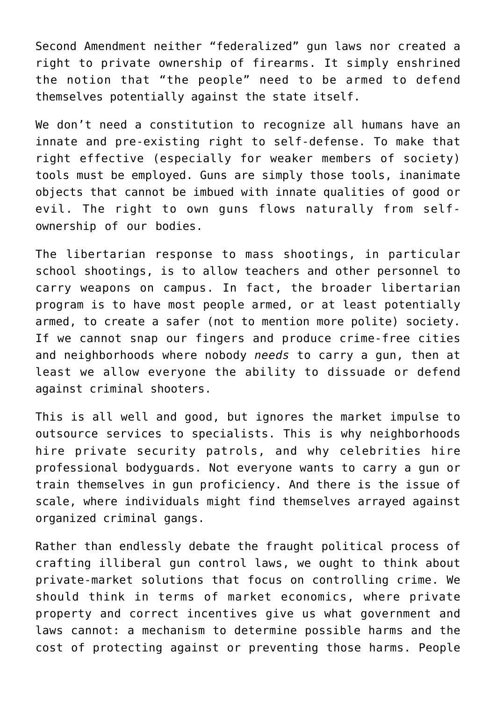Second Amendment neither "federalized" gun laws nor created a right to private ownership of firearms. It simply enshrined the notion that "the people" need to be armed to defend themselves potentially against the state itself.

We don't need a constitution to recognize all humans have an innate and pre-existing right to self-defense. To make that right effective (especially for weaker members of society) tools must be employed. Guns are simply those tools, inanimate objects that cannot be imbued with innate qualities of good or evil. The right to own guns flows naturally from selfownership of our bodies.

The libertarian response to mass shootings, in particular school shootings, is to allow teachers and other personnel to carry weapons on campus. In fact, the broader libertarian program is to have most people armed, or at least potentially armed, to create a safer (not to mention more polite) society. If we cannot snap our fingers and produce crime-free cities and neighborhoods where nobody *needs* to carry a gun, then at least we allow everyone the ability to dissuade or defend against criminal shooters.

This is all well and good, but ignores the market impulse to outsource services to specialists. This is why neighborhoods hire private security patrols, and why celebrities hire professional bodyguards. Not everyone wants to carry a gun or train themselves in gun proficiency. And there is the issue of scale, where individuals might find themselves arrayed against organized criminal gangs.

Rather than endlessly debate the fraught political process of crafting illiberal gun control laws, we ought to think about private-market solutions that focus on controlling crime. We should think in terms of market economics, where private property and correct incentives give us what government and laws cannot: a mechanism to determine possible harms and the cost of protecting against or preventing those harms. People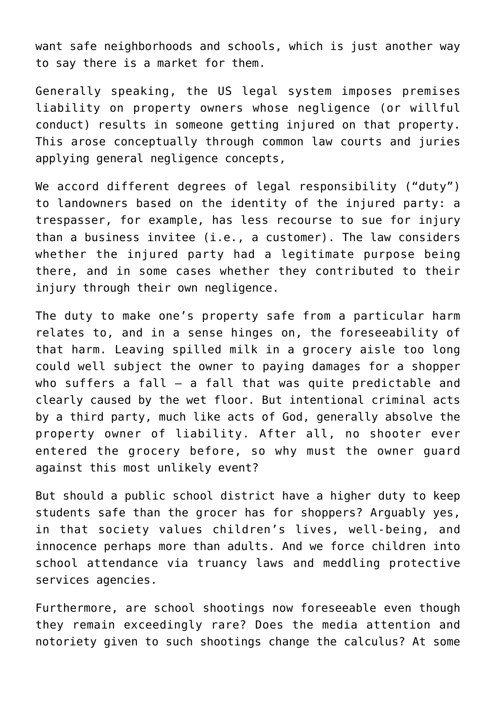want safe neighborhoods and schools, which is just another way to say there is a market for them.

Generally speaking, the US legal system imposes premises liability on property owners whose negligence (or willful conduct) results in someone getting injured on that property. This arose conceptually through common law courts and juries applying general negligence concepts,

We accord different degrees of legal responsibility ("duty") to landowners based on the identity of the injured party: a trespasser, for example, has less recourse to sue for injury than a business invitee (i.e., a customer). The law considers whether the injured party had a legitimate purpose being there, and in some cases whether they contributed to their injury through their own negligence.

The duty to make one's property safe from a particular harm relates to, and in a sense hinges on, the foreseeability of that harm. Leaving spilled milk in a grocery aisle too long could well subject the owner to paying damages for a shopper who suffers a fall  $-$  a fall that was quite predictable and clearly caused by the wet floor. But intentional criminal acts by a third party, much like acts of God, generally absolve the property owner of liability. After all, no shooter ever entered the grocery before, so why must the owner guard against this most unlikely event?

But should a public school district have a higher duty to keep students safe than the grocer has for shoppers? Arguably yes, in that society values children's lives, well-being, and innocence perhaps more than adults. And we force children into school attendance via truancy laws and meddling protective services agencies.

Furthermore, are school shootings now foreseeable even though they remain exceedingly rare? Does the media attention and notoriety given to such shootings change the calculus? At some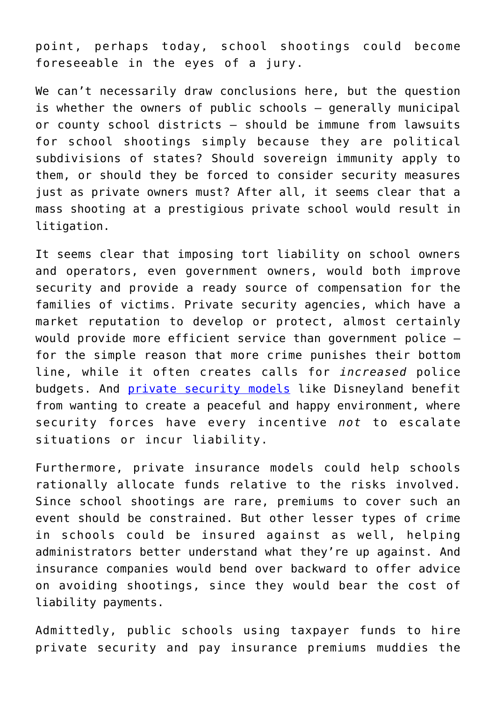point, perhaps today, school shootings could become foreseeable in the eyes of a jury.

We can't necessarily draw conclusions here, but the question is whether the owners of public schools — generally municipal or county school districts — should be immune from lawsuits for school shootings simply because they are political subdivisions of states? Should sovereign immunity apply to them, or should they be forced to consider security measures just as private owners must? After all, it seems clear that a mass shooting at a prestigious private school would result in litigation.

It seems clear that imposing tort liability on school owners and operators, even government owners, would both improve security and provide a ready source of compensation for the families of victims. Private security agencies, which have a market reputation to develop or protect, almost certainly would provide more efficient service than government police for the simple reason that more crime punishes their bottom line, while it often creates calls for *increased* police budgets. And [private security models](https://mises.org/wire/security-works-disney-%E2%80%94-cant-work-public-school) like Disneyland benefit from wanting to create a peaceful and happy environment, where security forces have every incentive *not* to escalate situations or incur liability.

Furthermore, private insurance models could help schools rationally allocate funds relative to the risks involved. Since school shootings are rare, premiums to cover such an event should be constrained. But other lesser types of crime in schools could be insured against as well, helping administrators better understand what they're up against. And insurance companies would bend over backward to offer advice on avoiding shootings, since they would bear the cost of liability payments.

Admittedly, public schools using taxpayer funds to hire private security and pay insurance premiums muddies the